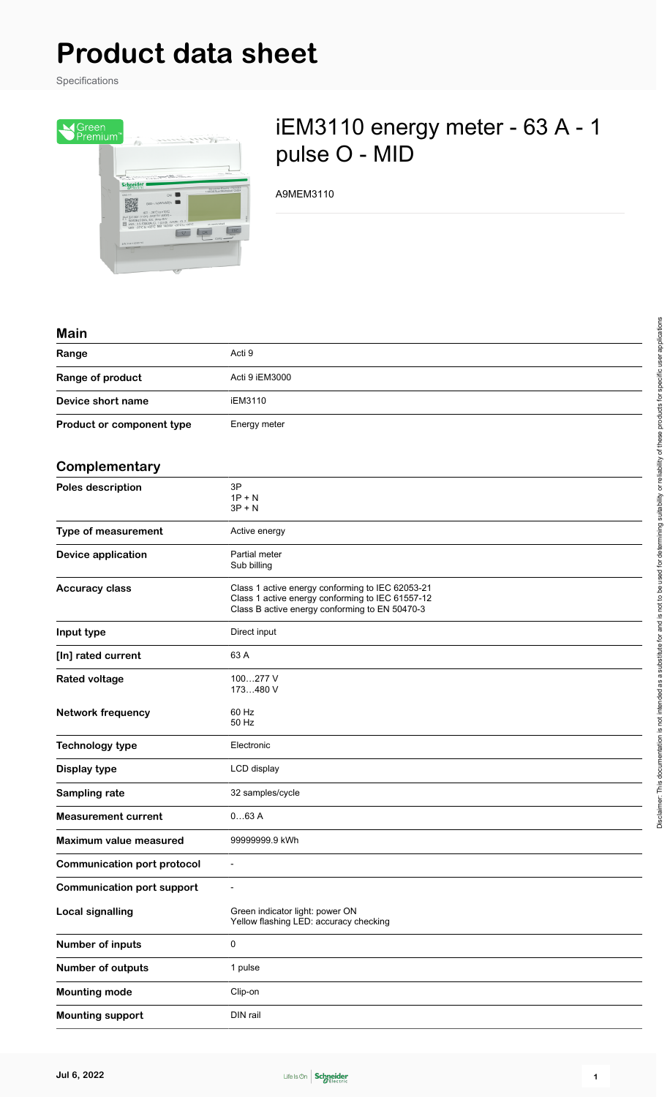# **Product data sheet**

Specifications



## iEM3110 energy meter - 63 A - 1 pulse O - MID

A9MEM3110

#### **Main**

| Range                     | Acti 9         |
|---------------------------|----------------|
| Range of product          | Acti 9 iEM3000 |
| Device short name         | iEM3110        |
| Product or component type | Energy meter   |

#### **Complementary**

| sompionionus y                     |                                                                                                                                                        |
|------------------------------------|--------------------------------------------------------------------------------------------------------------------------------------------------------|
| <b>Poles description</b>           | 3P<br>$1P + N$<br>$3P + N$                                                                                                                             |
| Type of measurement                | Active energy                                                                                                                                          |
| <b>Device application</b>          | Partial meter<br>Sub billing                                                                                                                           |
| <b>Accuracy class</b>              | Class 1 active energy conforming to IEC 62053-21<br>Class 1 active energy conforming to IEC 61557-12<br>Class B active energy conforming to EN 50470-3 |
| Input type                         | Direct input                                                                                                                                           |
| [In] rated current                 | 63 A                                                                                                                                                   |
| <b>Rated voltage</b>               | 100277 V<br>173480 V                                                                                                                                   |
| <b>Network frequency</b>           | 60 Hz<br>50 Hz                                                                                                                                         |
| <b>Technology type</b>             | Electronic                                                                                                                                             |
| Display type                       | LCD display                                                                                                                                            |
| Sampling rate                      | 32 samples/cycle                                                                                                                                       |
| <b>Measurement current</b>         | 063A                                                                                                                                                   |
| Maximum value measured             | 99999999.9 kWh                                                                                                                                         |
| <b>Communication port protocol</b> | $\overline{\phantom{a}}$                                                                                                                               |
| <b>Communication port support</b>  | $\overline{\phantom{a}}$                                                                                                                               |
| <b>Local signalling</b>            | Green indicator light: power ON<br>Yellow flashing LED: accuracy checking                                                                              |
| Number of inputs                   | 0                                                                                                                                                      |
| <b>Number of outputs</b>           | 1 pulse                                                                                                                                                |
| <b>Mounting mode</b>               | Clip-on                                                                                                                                                |
| <b>Mounting support</b>            | DIN rail                                                                                                                                               |

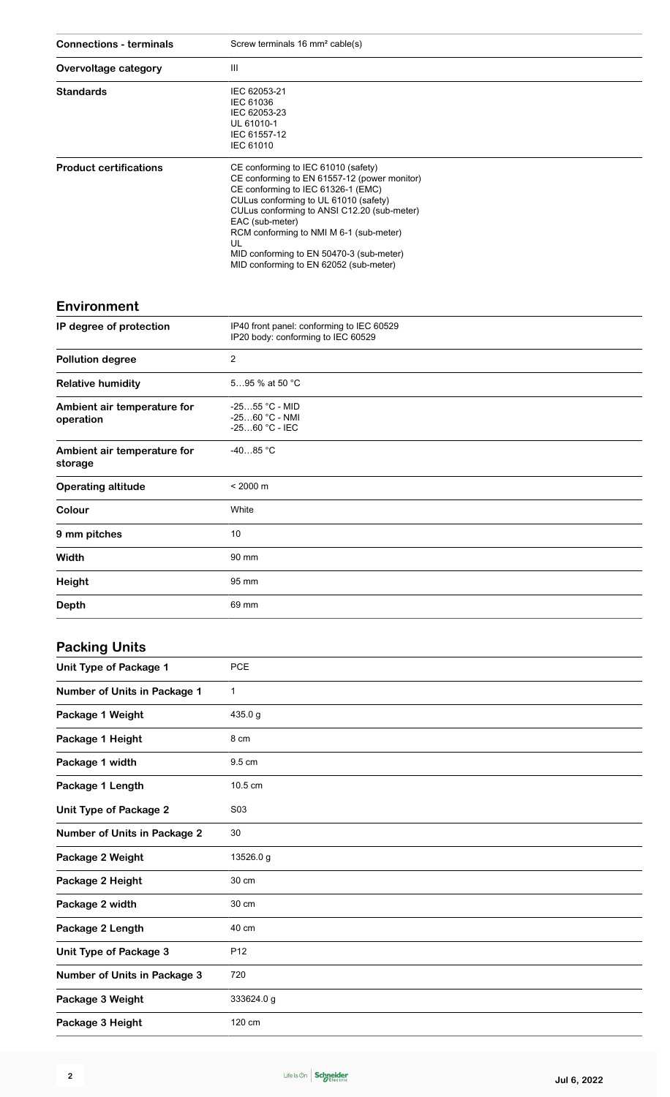| <b>Connections - terminals</b>           | Screw terminals 16 mm <sup>2</sup> cable(s)                                                                                                                                                                                                                                                                                                                                 |
|------------------------------------------|-----------------------------------------------------------------------------------------------------------------------------------------------------------------------------------------------------------------------------------------------------------------------------------------------------------------------------------------------------------------------------|
| Overvoltage category                     | Ш                                                                                                                                                                                                                                                                                                                                                                           |
| <b>Standards</b>                         | IEC 62053-21<br>IEC 61036<br>IEC 62053-23<br>UL 61010-1<br>IEC 61557-12<br><b>IEC 61010</b>                                                                                                                                                                                                                                                                                 |
| <b>Product certifications</b>            | CE conforming to IEC 61010 (safety)<br>CE conforming to EN 61557-12 (power monitor)<br>CE conforming to IEC 61326-1 (EMC)<br>CULus conforming to UL 61010 (safety)<br>CULus conforming to ANSI C12.20 (sub-meter)<br>EAC (sub-meter)<br>RCM conforming to NMI M 6-1 (sub-meter)<br>UL<br>MID conforming to EN 50470-3 (sub-meter)<br>MID conforming to EN 62052 (sub-meter) |
| <b>Environment</b>                       |                                                                                                                                                                                                                                                                                                                                                                             |
| IP degree of protection                  | IP40 front panel: conforming to IEC 60529<br>IP20 body: conforming to IEC 60529                                                                                                                                                                                                                                                                                             |
| <b>Pollution degree</b>                  | $\overline{c}$                                                                                                                                                                                                                                                                                                                                                              |
| <b>Relative humidity</b>                 | 595 % at 50 °C                                                                                                                                                                                                                                                                                                                                                              |
| Ambient air temperature for<br>operation | $-2555$ °C - MID<br>-2560 °C - NMI<br>-2560 °C - IEC                                                                                                                                                                                                                                                                                                                        |
| Ambient air temperature for<br>storage   | $-4085 °C$                                                                                                                                                                                                                                                                                                                                                                  |
| <b>Operating altitude</b>                | $< 2000 \text{ m}$                                                                                                                                                                                                                                                                                                                                                          |
| Colour                                   | White                                                                                                                                                                                                                                                                                                                                                                       |
| 9 mm pitches                             | 10                                                                                                                                                                                                                                                                                                                                                                          |
| Width                                    | 90 mm                                                                                                                                                                                                                                                                                                                                                                       |

### **Packing Units**

**Height** 95 mm

**Depth** 69 mm

| ັ                                   |                  |
|-------------------------------------|------------------|
| <b>Unit Type of Package 1</b>       | <b>PCE</b>       |
| Number of Units in Package 1        | 1                |
| Package 1 Weight                    | 435.0 g          |
| Package 1 Height                    | 8 cm             |
| Package 1 width                     | 9.5 cm           |
| Package 1 Length                    | 10.5 cm          |
| <b>Unit Type of Package 2</b>       | S <sub>0</sub> 3 |
| <b>Number of Units in Package 2</b> | 30               |
| Package 2 Weight                    | 13526.0 g        |
| Package 2 Height                    | 30 cm            |
| Package 2 width                     | 30 cm            |
| Package 2 Length                    | 40 cm            |
| <b>Unit Type of Package 3</b>       | P <sub>12</sub>  |
| <b>Number of Units in Package 3</b> | 720              |
| Package 3 Weight                    | 333624.0 g       |
| Package 3 Height                    | 120 cm           |
|                                     |                  |